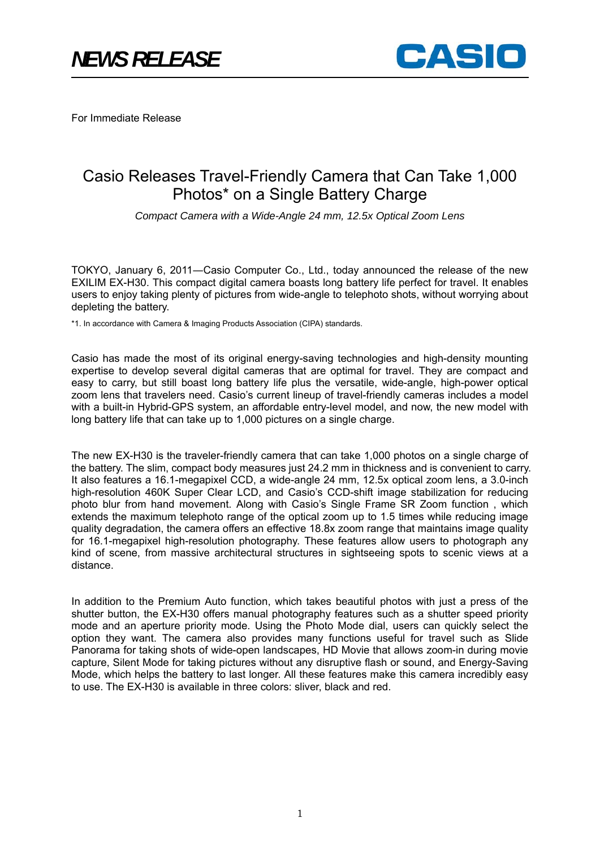

For Immediate Release

# Casio Releases Travel-Friendly Camera that Can Take 1,000 Photos\* on a Single Battery Charge

*Compact Camera with a Wide-Angle 24 mm, 12.5x Optical Zoom Lens* 

TOKYO, January 6, 2011―Casio Computer Co., Ltd., today announced the release of the new EXILIM EX-H30. This compact digital camera boasts long battery life perfect for travel. It enables users to enjoy taking plenty of pictures from wide-angle to telephoto shots, without worrying about depleting the battery.

\*1. In accordance with Camera & Imaging Products Association (CIPA) standards.

Casio has made the most of its original energy-saving technologies and high-density mounting expertise to develop several digital cameras that are optimal for travel. They are compact and easy to carry, but still boast long battery life plus the versatile, wide-angle, high-power optical zoom lens that travelers need. Casio's current lineup of travel-friendly cameras includes a model with a built-in Hybrid-GPS system, an affordable entry-level model, and now, the new model with long battery life that can take up to 1,000 pictures on a single charge.

The new EX-H30 is the traveler-friendly camera that can take 1,000 photos on a single charge of the battery. The slim, compact body measures just 24.2 mm in thickness and is convenient to carry. It also features a 16.1-megapixel CCD, a wide-angle 24 mm, 12.5x optical zoom lens, a 3.0-inch high-resolution 460K Super Clear LCD, and Casio's CCD-shift image stabilization for reducing photo blur from hand movement. Along with Casio's Single Frame SR Zoom function , which extends the maximum telephoto range of the optical zoom up to 1.5 times while reducing image quality degradation, the camera offers an effective 18.8x zoom range that maintains image quality for 16.1-megapixel high-resolution photography. These features allow users to photograph any kind of scene, from massive architectural structures in sightseeing spots to scenic views at a distance.

In addition to the Premium Auto function, which takes beautiful photos with just a press of the shutter button, the EX-H30 offers manual photography features such as a shutter speed priority mode and an aperture priority mode. Using the Photo Mode dial, users can quickly select the option they want. The camera also provides many functions useful for travel such as Slide Panorama for taking shots of wide-open landscapes, HD Movie that allows zoom-in during movie capture, Silent Mode for taking pictures without any disruptive flash or sound, and Energy-Saving Mode, which helps the battery to last longer. All these features make this camera incredibly easy to use. The EX-H30 is available in three colors: sliver, black and red.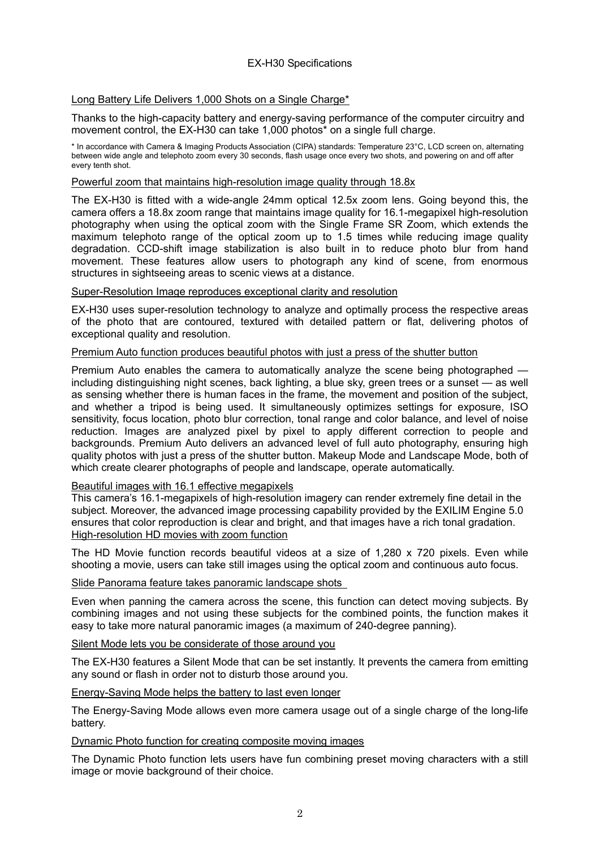## Long Battery Life Delivers 1,000 Shots on a Single Charge\*

Thanks to the high-capacity battery and energy-saving performance of the computer circuitry and movement control, the EX-H30 can take 1,000 photos\* on a single full charge.

\* In accordance with Camera & Imaging Products Association (CIPA) standards: Temperature 23°C, LCD screen on, alternating between wide angle and telephoto zoom every 30 seconds, flash usage once every two shots, and powering on and off after every tenth shot.

### Powerful zoom that maintains high-resolution image quality through 18.8x

The EX-H30 is fitted with a wide-angle 24mm optical 12.5x zoom lens. Going beyond this, the camera offers a 18.8x zoom range that maintains image quality for 16.1-megapixel high-resolution photography when using the optical zoom with the Single Frame SR Zoom, which extends the maximum telephoto range of the optical zoom up to 1.5 times while reducing image quality degradation. CCD-shift image stabilization is also built in to reduce photo blur from hand movement. These features allow users to photograph any kind of scene, from enormous structures in sightseeing areas to scenic views at a distance.

### Super-Resolution Image reproduces exceptional clarity and resolution

EX-H30 uses super-resolution technology to analyze and optimally process the respective areas of the photo that are contoured, textured with detailed pattern or flat, delivering photos of exceptional quality and resolution.

## Premium Auto function produces beautiful photos with just a press of the shutter button

Premium Auto enables the camera to automatically analyze the scene being photographed including distinguishing night scenes, back lighting, a blue sky, green trees or a sunset — as well as sensing whether there is human faces in the frame, the movement and position of the subject, and whether a tripod is being used. It simultaneously optimizes settings for exposure, ISO sensitivity, focus location, photo blur correction, tonal range and color balance, and level of noise reduction. Images are analyzed pixel by pixel to apply different correction to people and backgrounds. Premium Auto delivers an advanced level of full auto photography, ensuring high quality photos with just a press of the shutter button. Makeup Mode and Landscape Mode, both of which create clearer photographs of people and landscape, operate automatically.

# Beautiful images with 16.1 effective megapixels

This camera's 16.1-megapixels of high-resolution imagery can render extremely fine detail in the subject. Moreover, the advanced image processing capability provided by the EXILIM Engine 5.0 ensures that color reproduction is clear and bright, and that images have a rich tonal gradation. High-resolution HD movies with zoom function

The HD Movie function records beautiful videos at a size of 1,280 x 720 pixels. Even while shooting a movie, users can take still images using the optical zoom and continuous auto focus.

## Slide Panorama feature takes panoramic landscape shots

Even when panning the camera across the scene, this function can detect moving subjects. By combining images and not using these subjects for the combined points, the function makes it easy to take more natural panoramic images (a maximum of 240-degree panning).

#### Silent Mode lets you be considerate of those around you

The EX-H30 features a Silent Mode that can be set instantly. It prevents the camera from emitting any sound or flash in order not to disturb those around you.

#### Energy-Saving Mode helps the battery to last even longer

The Energy-Saving Mode allows even more camera usage out of a single charge of the long-life battery.

#### Dynamic Photo function for creating composite moving images

The Dynamic Photo function lets users have fun combining preset moving characters with a still image or movie background of their choice.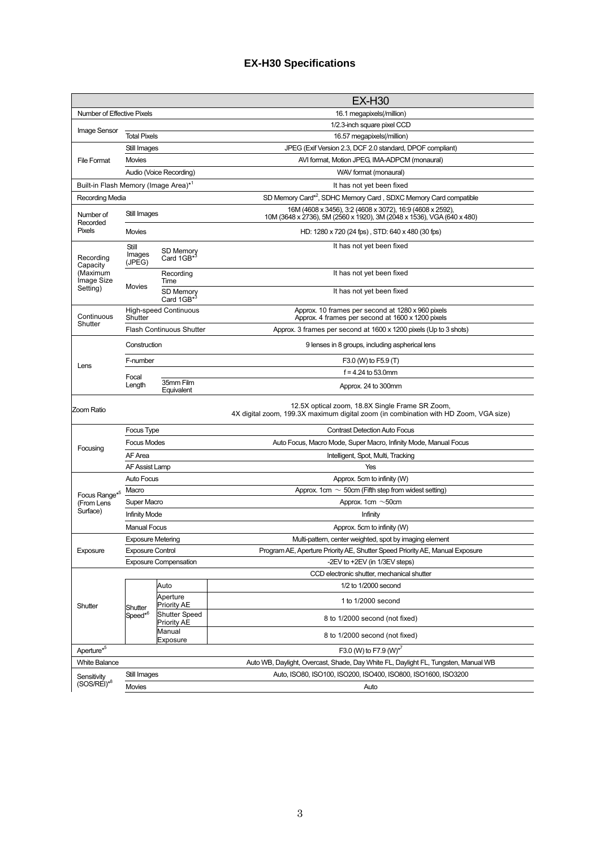# **EX-H30 Specifications**

|                                                  |                                         |                                     | <b>EX-H30</b>                                                                                                                           |
|--------------------------------------------------|-----------------------------------------|-------------------------------------|-----------------------------------------------------------------------------------------------------------------------------------------|
| Number of Effective Pixels                       |                                         |                                     | 16.1 megapixels(/million)                                                                                                               |
|                                                  |                                         |                                     | 1/2.3-inch square pixel CCD                                                                                                             |
| Image Sensor                                     | <b>Total Pixels</b>                     |                                     | 16.57 megapixels(/million)                                                                                                              |
|                                                  | Still Images                            |                                     | JPEG (Exif Version 2.3, DCF 2.0 standard, DPOF compliant)                                                                               |
| <b>File Format</b>                               | <b>Movies</b>                           |                                     | AVI format, Motion JPEG, IMA-ADPCM (monaural)                                                                                           |
|                                                  |                                         | Audio (Voice Recording)             | WAV format (monaural)                                                                                                                   |
| Built-in Flash Memory (Image Area)* <sup>1</sup> |                                         |                                     | It has not yet been fixed                                                                                                               |
| Recording Media                                  |                                         |                                     | SD Memory Card*2, SDHC Memory Card, SDXC Memory Card compatible                                                                         |
| Number of<br>Recorded<br>Pixels                  | Still Images                            |                                     | 16M (4608 x 3456), 3:2 (4608 x 3072), 16:9 (4608 x 2592),<br>10M (3648 x 2736), 5M (2560 x 1920), 3M (2048 x 1536), VGA (640 x 480)     |
|                                                  | <b>Movies</b>                           |                                     | HD: 1280 x 720 (24 fps), STD: 640 x 480 (30 fps)                                                                                        |
| Recording<br>Capacity<br>(Maximum<br>Image Size  | Still<br>Images<br>(JPEG)               | SD Memory<br>Card 1GB <sup>*3</sup> | It has not yet been fixed                                                                                                               |
|                                                  | Movies                                  | Recording<br>Time                   | It has not yet been fixed                                                                                                               |
| Setting)                                         |                                         | SD Memory<br>Card 1GB <sup>*3</sup> | It has not yet been fixed                                                                                                               |
| Continuous                                       | <b>High-speed Continuous</b><br>Shutter |                                     | Approx. 10 frames per second at 1280 x 960 pixels<br>Approx. 4 frames per second at 1600 x 1200 pixels                                  |
| Shutter                                          |                                         | <b>Flash Continuous Shutter</b>     | Approx. 3 frames per second at 1600 x 1200 pixels (Up to 3 shots)                                                                       |
|                                                  | Construction                            |                                     | 9 lenses in 8 groups, including aspherical lens                                                                                         |
|                                                  | F-number                                |                                     | F3.0 (W) to F5.9 (T)                                                                                                                    |
| Lens                                             |                                         |                                     | $f = 4.24$ to 53.0mm                                                                                                                    |
|                                                  | Focal<br>Length                         | 35mm Film<br>Equivalent             | Approx. 24 to 300mm                                                                                                                     |
| Zoom Ratio                                       |                                         |                                     | 12.5X optical zoom, 18.8X Single Frame SR Zoom,<br>4X digital zoom, 199.3X maximum digital zoom (in combination with HD Zoom, VGA size) |
|                                                  | Focus Type                              |                                     | <b>Contrast Detection Auto Focus</b>                                                                                                    |
|                                                  | <b>Focus Modes</b>                      |                                     | Auto Focus, Macro Mode, Super Macro, Infinity Mode, Manual Focus                                                                        |
| Focusing                                         | AF Area                                 |                                     | Intelligent, Spot, Multi, Tracking                                                                                                      |
|                                                  | AF Assist Lamp                          |                                     | Yes                                                                                                                                     |
|                                                  | <b>Auto Focus</b>                       |                                     | Approx. 5cm to infinity (W)                                                                                                             |
| Focus Range* <sup>5</sup><br>(From Lens          | Macro                                   |                                     | Approx. 1cm $\sim$ 50cm (Fifth step from widest setting)                                                                                |
|                                                  | Super Macro                             |                                     | Approx. 1cm $\sim$ 50cm                                                                                                                 |
| Surface)                                         | <b>Infinity Mode</b>                    |                                     | Infinity                                                                                                                                |
|                                                  | <b>Manual Focus</b>                     |                                     | Approx. 5cm to infinity (W)                                                                                                             |
|                                                  | <b>Exposure Metering</b>                |                                     | Multi-pattern, center weighted, spot by imaging element                                                                                 |
| Exposure                                         | <b>Exposure Control</b>                 |                                     | Program AE, Aperture Priority AE, Shutter Speed Priority AE, Manual Exposure                                                            |
|                                                  |                                         | <b>Exposure Compensation</b>        | -2EV to +2EV (in 1/3EV steps)                                                                                                           |
|                                                  |                                         |                                     | CCD electronic shutter, mechanical shutter                                                                                              |
|                                                  | Shutter<br>Speed <sup>*6</sup>          | Auto                                | 1/2 to 1/2000 second                                                                                                                    |
| Shutter                                          |                                         | Aperture<br>Priority AE             | 1 to 1/2000 second                                                                                                                      |
|                                                  |                                         | <b>Shutter Speed</b><br>Priority AE | 8 to 1/2000 second (not fixed)                                                                                                          |
|                                                  |                                         | Manual<br>Exposure                  | 8 to 1/2000 second (not fixed)                                                                                                          |
| Aperture <sup>*5</sup>                           | F3.0 (W) to F7.9 (W) <sup>*7</sup>      |                                     |                                                                                                                                         |
| <b>White Balance</b>                             |                                         |                                     | Auto WB, Daylight, Overcast, Shade, Day White FL, Daylight FL, Tungsten, Manual WB                                                      |
| Sensitivity<br>$(SOS/REI)^{*8}$                  | Still Images                            |                                     | Auto, ISO80, ISO100, ISO200, ISO400, ISO800, ISO1600, ISO3200                                                                           |
|                                                  | Movies                                  |                                     | Auto                                                                                                                                    |